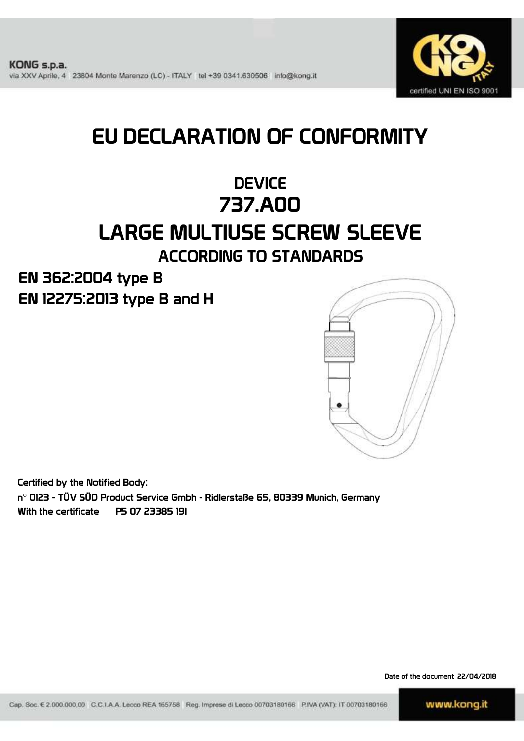

# EU DECLARATION OF CONFORMITY

## **DEVICE** 737.A00 LARGE MULTIUSE SCREW SLEEVE ACCORDING TO STANDARDS

EN 12275:2013 type B and H EN 362:2004 type B



Certified by the Notified Body:

n° 0123 - TÜV SÜD Product Service Gmbh - Ridlerstaße 65, 80339 Munich, Germany With the certificate P5 07 23385 191

Date of the document 22/04/2018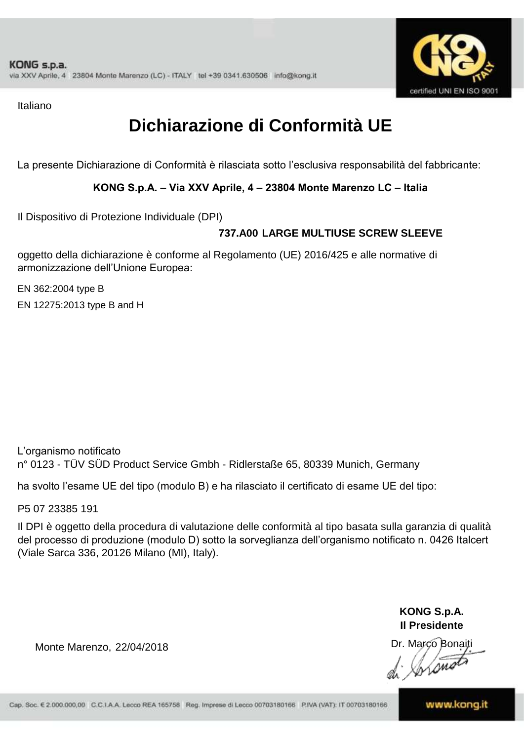

Italiano

# **Dichiarazione di Conformità UE**

La presente Dichiarazione di Conformità è rilasciata sotto l'esclusiva responsabilità del fabbricante:

#### **KONG S.p.A. – Via XXV Aprile, 4 – 23804 Monte Marenzo LC – Italia**

Il Dispositivo di Protezione Individuale (DPI)

### **737.A00 LARGE MULTIUSE SCREW SLEEVE**

oggetto della dichiarazione è conforme al Regolamento (UE) 2016/425 e alle normative di armonizzazione dell'Unione Europea:

EN 12275:2013 type B and H EN 362:2004 type B

L'organismo notificato n° 0123 - TÜV SÜD Product Service Gmbh - Ridlerstaße 65, 80339 Munich, Germany

ha svolto l'esame UE del tipo (modulo B) e ha rilasciato il certificato di esame UE del tipo:

P5 07 23385 191

Il DPI è oggetto della procedura di valutazione delle conformità al tipo basata sulla garanzia di qualità del processo di produzione (modulo D) sotto la sorveglianza dell'organismo notificato n. 0426 Italcert (Viale Sarca 336, 20126 Milano (MI), Italy).

> **KONG S.p.A. Il Presidente**

Inons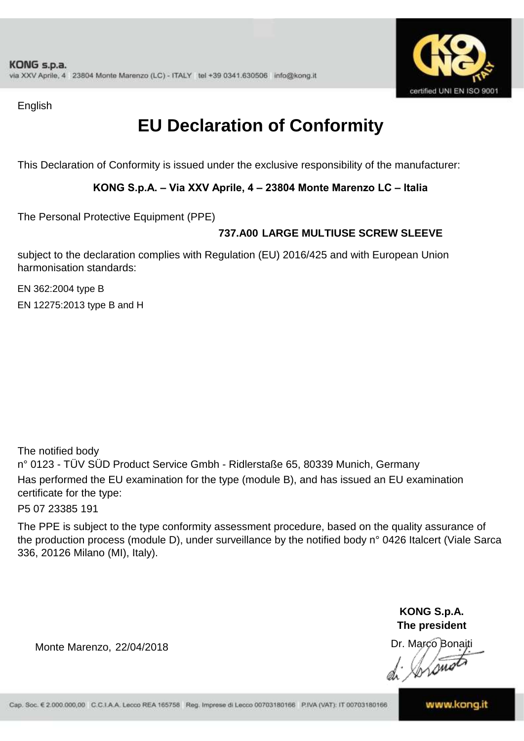

English

# **EU Declaration of Conformity**

This Declaration of Conformity is issued under the exclusive responsibility of the manufacturer:

#### **KONG S.p.A. – Via XXV Aprile, 4 – 23804 Monte Marenzo LC – Italia**

The Personal Protective Equipment (PPE)

### **737.A00 LARGE MULTIUSE SCREW SLEEVE**

subject to the declaration complies with Regulation (EU) 2016/425 and with European Union harmonisation standards:

EN 362:2004 type B EN 12275:2013 type B and H

The notified body n° 0123 - TÜV SÜD Product Service Gmbh - Ridlerstaße 65, 80339 Munich, Germany Has performed the EU examination for the type (module B), and has issued an EU examination certificate for the type:

P5 07 23385 191

The PPE is subject to the type conformity assessment procedure, based on the quality assurance of the production process (module D), under surveillance by the notified body n° 0426 Italcert (Viale Sarca 336, 20126 Milano (MI), Italy).

> **KONG S.p.A. The president**

Dr. Marco Bonaiti

Lom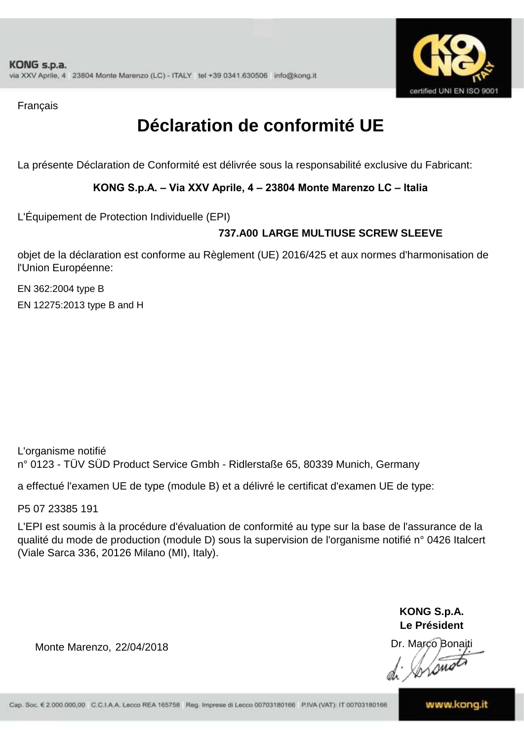

Français

# **Déclaration de conformité UE**

La présente Déclaration de Conformité est délivrée sous la responsabilité exclusive du Fabricant:

#### **KONG S.p.A. – Via XXV Aprile, 4 – 23804 Monte Marenzo LC – Italia**

L'Équipement de Protection Individuelle (EPI)

### **737.A00 LARGE MULTIUSE SCREW SLEEVE**

objet de la déclaration est conforme au Règlement (UE) 2016/425 et aux normes d'harmonisation de l'Union Européenne:

EN 362:2004 type B EN 12275:2013 type B and H

L'organisme notifié n° 0123 - TÜV SÜD Product Service Gmbh - Ridlerstaße 65, 80339 Munich, Germany

a effectué l'examen UE de type (module B) et a délivré le certificat d'examen UE de type:

P5 07 23385 191

L'EPI est soumis à la procédure d'évaluation de conformité au type sur la base de l'assurance de la qualité du mode de production (module D) sous la supervision de l'organisme notifié n° 0426 Italcert (Viale Sarca 336, 20126 Milano (MI), Italy).

> **KONG S.p.A. Le Président**

Dr. Marco Bonaiti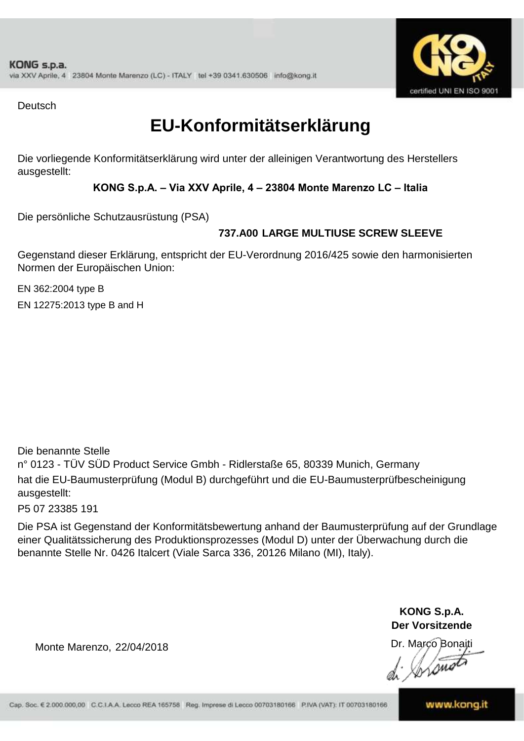

**Deutsch** 

# **EU-Konformitätserklärung**

Die vorliegende Konformitätserklärung wird unter der alleinigen Verantwortung des Herstellers ausgestellt:

#### **KONG S.p.A. – Via XXV Aprile, 4 – 23804 Monte Marenzo LC – Italia**

Die persönliche Schutzausrüstung (PSA)

### **737.A00 LARGE MULTIUSE SCREW SLEEVE**

Gegenstand dieser Erklärung, entspricht der EU-Verordnung 2016/425 sowie den harmonisierten Normen der Europäischen Union:

EN 362:2004 type B EN 12275:2013 type B and H

Die benannte Stelle n° 0123 - TÜV SÜD Product Service Gmbh - Ridlerstaße 65, 80339 Munich, Germany hat die EU-Baumusterprüfung (Modul B) durchgeführt und die EU-Baumusterprüfbescheinigung ausgestellt:

P5 07 23385 191

Die PSA ist Gegenstand der Konformitätsbewertung anhand der Baumusterprüfung auf der Grundlage einer Qualitätssicherung des Produktionsprozesses (Modul D) unter der Überwachung durch die benannte Stelle Nr. 0426 Italcert (Viale Sarca 336, 20126 Milano (MI), Italy).

> **KONG S.p.A. Der Vorsitzende**

Dr. Marco Bonaiti

Monte Marenzo, 22/04/2018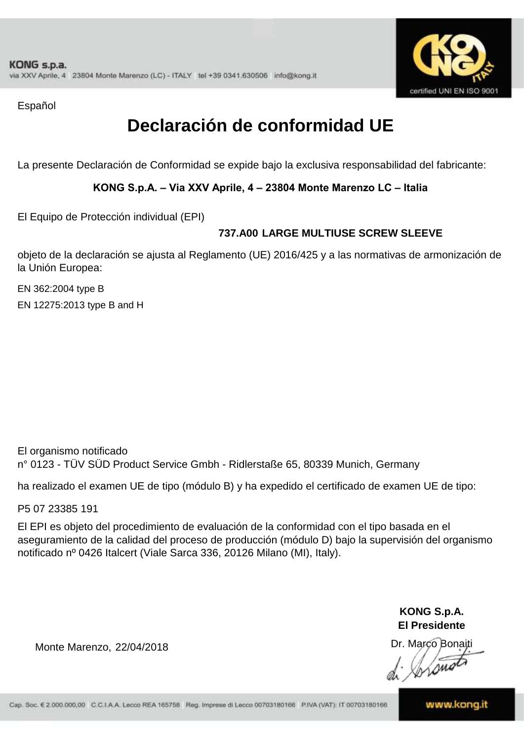

Español

# **Declaración de conformidad UE**

La presente Declaración de Conformidad se expide bajo la exclusiva responsabilidad del fabricante:

#### **KONG S.p.A. – Via XXV Aprile, 4 – 23804 Monte Marenzo LC – Italia**

El Equipo de Protección individual (EPI)

### **737.A00 LARGE MULTIUSE SCREW SLEEVE**

objeto de la declaración se ajusta al Reglamento (UE) 2016/425 y a las normativas de armonización de la Unión Europea:

EN 362:2004 type B EN 12275:2013 type B and H

El organismo notificado n° 0123 - TÜV SÜD Product Service Gmbh - Ridlerstaße 65, 80339 Munich, Germany

ha realizado el examen UE de tipo (módulo B) y ha expedido el certificado de examen UE de tipo:

P5 07 23385 191

El EPI es objeto del procedimiento de evaluación de la conformidad con el tipo basada en el aseguramiento de la calidad del proceso de producción (módulo D) bajo la supervisión del organismo notificado nº 0426 Italcert (Viale Sarca 336, 20126 Milano (MI), Italy).

> **KONG S.p.A. El Presidente**

Dr. Marco Bonaiti

Monte Marenzo, 22/04/2018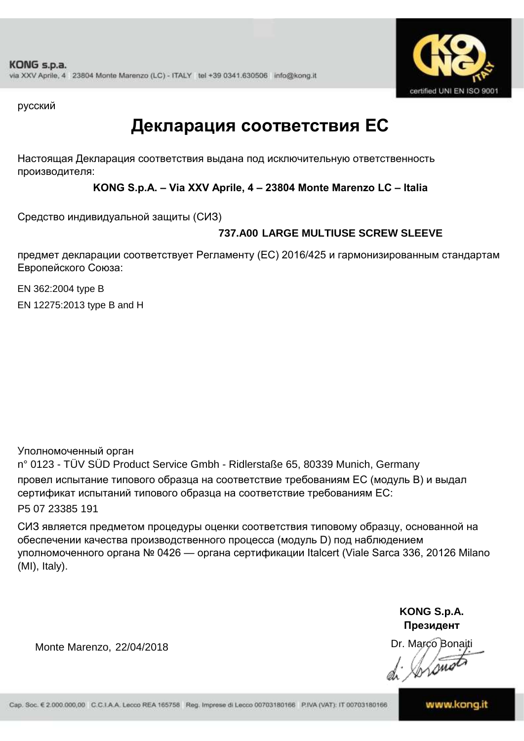

русский

## **Декларация соответствия ЕС**

Настоящая Декларация соответствия выдана под исключительную ответственность производителя:

**KONG S.p.A. – Via XXV Aprile, 4 – 23804 Monte Marenzo LC – Italia**

Средство индивидуальной защиты (СИЗ)

### **737.A00 LARGE MULTIUSE SCREW SLEEVE**

предмет декларации соответствует Регламенту (ЕС) 2016/425 и гармонизированным стандартам Европейского Союза:

EN 362:2004 type B EN 12275:2013 type B and H

Уполномоченный орган

n° 0123 - TÜV SÜD Product Service Gmbh - Ridlerstaße 65, 80339 Munich, Germany провел испытание типового образца на соответствие требованиям ЕС (модуль B) и выдал сертификат испытаний типового образца на соответствие требованиям ЕС: P5 07 23385 191

СИЗ является предметом процедуры оценки соответствия типовому образцу, основанной на обеспечении качества производственного процесса (модуль D) под наблюдением уполномоченного органа № 0426 — органа сертификации Italcert (Viale Sarca 336, 20126 Milano (MI), Italy).

> **KONG S.p.A. Президент**

Dr. Marco Bonaiti prome

Monte Marenzo, 22/04/2018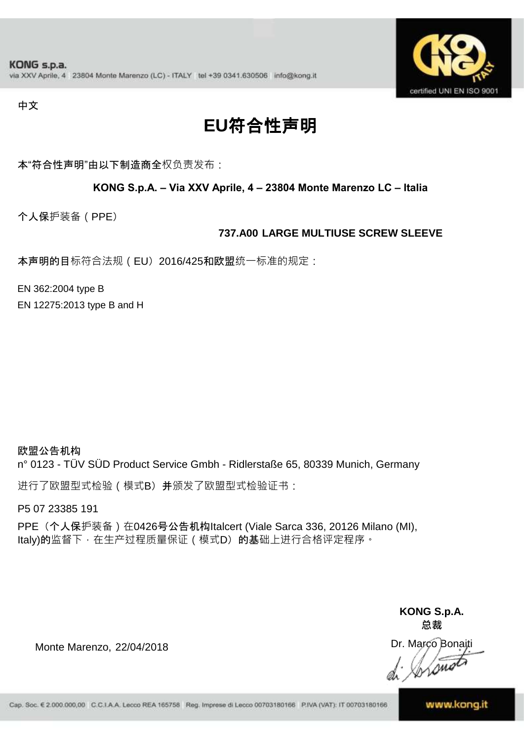

中文

# **EU**符合性声明

本"符合性声明"由以下制造商全权负责发布:

#### **KONG S.p.A. – Via XXV Aprile, 4 – 23804 Monte Marenzo LC – Italia**

个人保护装备(PPE)

#### **737.A00 LARGE MULTIUSE SCREW SLEEVE**

本声明的目标符合法规 (EU) 2016/425和欧盟统一标准的规定:

EN 362:2004 type B

EN 12275:2013 type B and H

欧盟公告机构 n° 0123 - TÜV SÜD Product Service Gmbh - Ridlerstaße 65, 80339 Munich, Germany

进行了欧盟型式检验(模式B)并颁发了欧盟型式检验证书:

P5 07 23385 191

PPE (个人保护装备) 在0426号公告机构Italcert (Viale Sarca 336, 20126 Milano (MI), Italy)的监督下, 在生产过程质量保证 ( 模式D) 的基础上进行合格评定程序。

> **KONG S.p.A. 总裁**

Dr. Marco Bonaiti  $\sqrt{2m}$ 

Monte Marenzo, 22/04/2018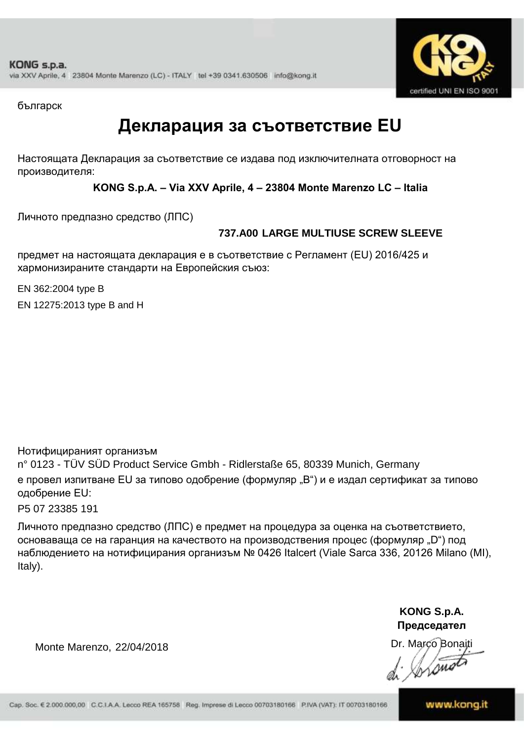

българск

### **Декларация за съответствие EU**

Настоящата Декларация за съответствие се издава под изключителната отговорност на производителя:

**KONG S.p.A. – Via XXV Aprile, 4 – 23804 Monte Marenzo LC – Italia**

Личното предпазно средство (ЛПС)

### **737.A00 LARGE MULTIUSE SCREW SLEEVE**

предмет на настоящата декларация е в съответствие с Регламент (ЕU) 2016/425 и хармонизираните стандарти на Европейския съюз:

EN 362:2004 type B

EN 12275:2013 type B and H

Нотифицираният организъм

n° 0123 - TÜV SÜD Product Service Gmbh - Ridlerstaße 65, 80339 Munich, Germany е провел изпитване EU за типово одобрение (формуляр "B") и е издал сертификат за типово одобрение ЕU:

P5 07 23385 191

Личното предпазно средство (ЛПС) е предмет на процедура за оценка на съответствието, основаваща се на гаранция на качеството на производствения процес (формуляр "D") под наблюдението на нотифицирания организъм № 0426 Italcert (Viale Sarca 336, 20126 Milano (MI), Italy).

> **KONG S.p.A. Председател**

Dr. Marco Bonaiti Wome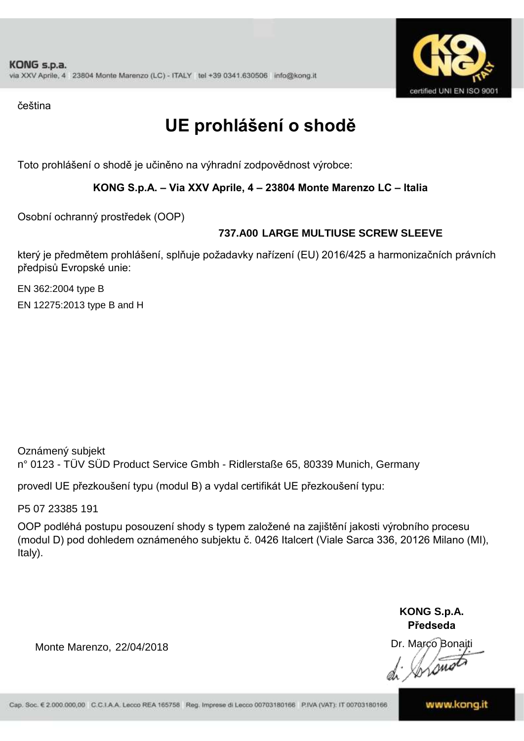

čeština

# **UE prohlášení o shodě**

Toto prohlášení o shodě je učiněno na výhradní zodpovědnost výrobce:

#### **KONG S.p.A. – Via XXV Aprile, 4 – 23804 Monte Marenzo LC – Italia**

Osobní ochranný prostředek (OOP)

### **737.A00 LARGE MULTIUSE SCREW SLEEVE**

který je předmětem prohlášení, splňuje požadavky nařízení (EU) 2016/425 a harmonizačních právních předpisů Evropské unie:

EN 362:2004 type B EN 12275:2013 type B and H

Oznámený subjekt n° 0123 - TÜV SÜD Product Service Gmbh - Ridlerstaße 65, 80339 Munich, Germany

provedl UE přezkoušení typu (modul B) a vydal certifikát UE přezkoušení typu:

P5 07 23385 191

OOP podléhá postupu posouzení shody s typem založené na zajištění jakosti výrobního procesu (modul D) pod dohledem oznámeného subjektu č. 0426 Italcert (Viale Sarca 336, 20126 Milano (MI), Italy).

> **KONG S.p.A. Předseda**

Dr. Marco Bonaiti

Monte Marenzo, 22/04/2018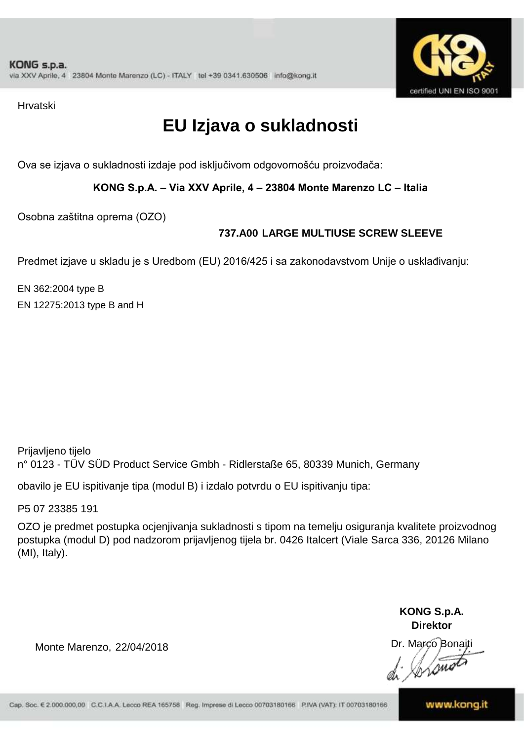

Hrvatski

# **EU Izjava o sukladnosti**

Ova se izjava o sukladnosti izdaje pod isključivom odgovornošću proizvođača:

**KONG S.p.A. – Via XXV Aprile, 4 – 23804 Monte Marenzo LC – Italia**

Osobna zaštitna oprema (OZO)

### **737.A00 LARGE MULTIUSE SCREW SLEEVE**

Predmet izjave u skladu je s Uredbom (EU) 2016/425 i sa zakonodavstvom Unije o usklađivanju:

EN 362:2004 type B EN 12275:2013 type B and H

Prijavljeno tijelo n° 0123 - TÜV SÜD Product Service Gmbh - Ridlerstaße 65, 80339 Munich, Germany

obavilo je EU ispitivanje tipa (modul B) i izdalo potvrdu o EU ispitivanju tipa:

P5 07 23385 191

OZO je predmet postupka ocjenjivanja sukladnosti s tipom na temelju osiguranja kvalitete proizvodnog postupka (modul D) pod nadzorom prijavljenog tijela br. 0426 Italcert (Viale Sarca 336, 20126 Milano (MI), Italy).

> **KONG S.p.A. Direktor**

Dr. Marco Bonaiti mi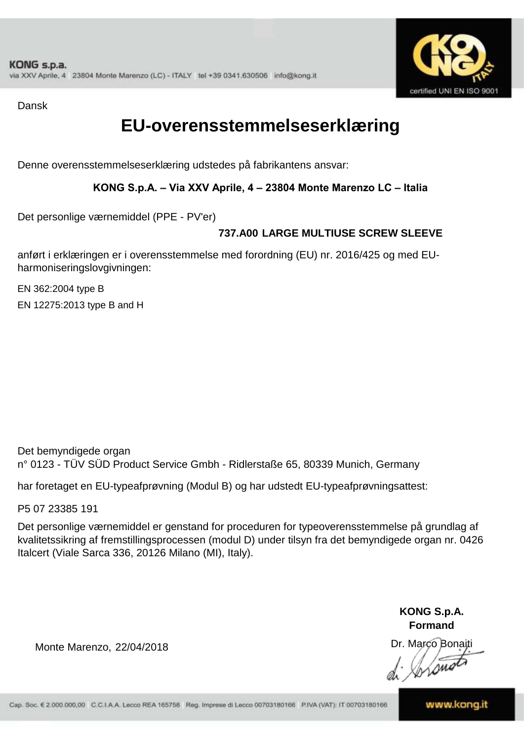

Dansk

### **EU-overensstemmelseserklæring**

Denne overensstemmelseserklæring udstedes på fabrikantens ansvar:

#### **KONG S.p.A. – Via XXV Aprile, 4 – 23804 Monte Marenzo LC – Italia**

Det personlige værnemiddel (PPE - PV'er)

### **737.A00 LARGE MULTIUSE SCREW SLEEVE**

anført i erklæringen er i overensstemmelse med forordning (EU) nr. 2016/425 og med EUharmoniseringslovgivningen:

EN 362:2004 type B EN 12275:2013 type B and H

Det bemyndigede organ n° 0123 - TÜV SÜD Product Service Gmbh - Ridlerstaße 65, 80339 Munich, Germany

har foretaget en EU-typeafprøvning (Modul B) og har udstedt EU-typeafprøvningsattest:

P5 07 23385 191

Det personlige værnemiddel er genstand for proceduren for typeoverensstemmelse på grundlag af kvalitetssikring af fremstillingsprocessen (modul D) under tilsyn fra det bemyndigede organ nr. 0426 Italcert (Viale Sarca 336, 20126 Milano (MI), Italy).

> **KONG S.p.A. Formand**

Dr. Marco Bonaiti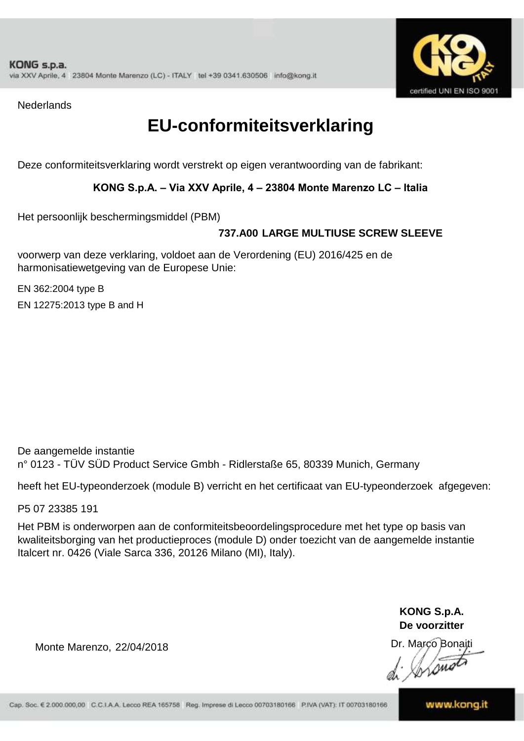

**Nederlands** 

## **EU-conformiteitsverklaring**

Deze conformiteitsverklaring wordt verstrekt op eigen verantwoording van de fabrikant:

#### **KONG S.p.A. – Via XXV Aprile, 4 – 23804 Monte Marenzo LC – Italia**

Het persoonlijk beschermingsmiddel (PBM)

### **737.A00 LARGE MULTIUSE SCREW SLEEVE**

voorwerp van deze verklaring, voldoet aan de Verordening (EU) 2016/425 en de harmonisatiewetgeving van de Europese Unie:

EN 362:2004 type B EN 12275:2013 type B and H

De aangemelde instantie n° 0123 - TÜV SÜD Product Service Gmbh - Ridlerstaße 65, 80339 Munich, Germany

heeft het EU-typeonderzoek (module B) verricht en het certificaat van EU-typeonderzoek afgegeven:

P5 07 23385 191

Het PBM is onderworpen aan de conformiteitsbeoordelingsprocedure met het type op basis van kwaliteitsborging van het productieproces (module D) onder toezicht van de aangemelde instantie Italcert nr. 0426 (Viale Sarca 336, 20126 Milano (MI), Italy).

> **KONG S.p.A. De voorzitter**

Dr. Marco Bonaiti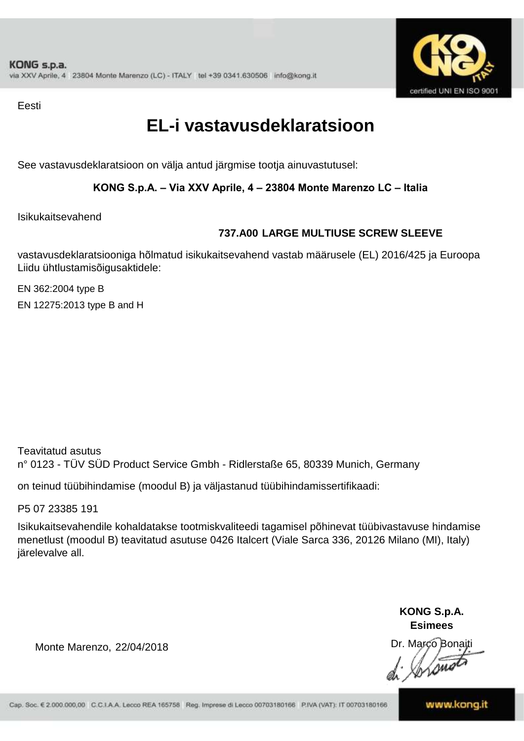

Eesti

## **EL-i vastavusdeklaratsioon**

See vastavusdeklaratsioon on välja antud järgmise tootja ainuvastutusel:

#### **KONG S.p.A. – Via XXV Aprile, 4 – 23804 Monte Marenzo LC – Italia**

Isikukaitsevahend

### **737.A00 LARGE MULTIUSE SCREW SLEEVE**

vastavusdeklaratsiooniga hõlmatud isikukaitsevahend vastab määrusele (EL) 2016/425 ja Euroopa Liidu ühtlustamisõigusaktidele:

EN 362:2004 type B EN 12275:2013 type B and H

Teavitatud asutus n° 0123 - TÜV SÜD Product Service Gmbh - Ridlerstaße 65, 80339 Munich, Germany

on teinud tüübihindamise (moodul B) ja väljastanud tüübihindamissertifikaadi:

P5 07 23385 191

Isikukaitsevahendile kohaldatakse tootmiskvaliteedi tagamisel põhinevat tüübivastavuse hindamise menetlust (moodul B) teavitatud asutuse 0426 Italcert (Viale Sarca 336, 20126 Milano (MI), Italy) järelevalve all.

> **KONG S.p.A. Esimees**

Dr. Marco Bonaiti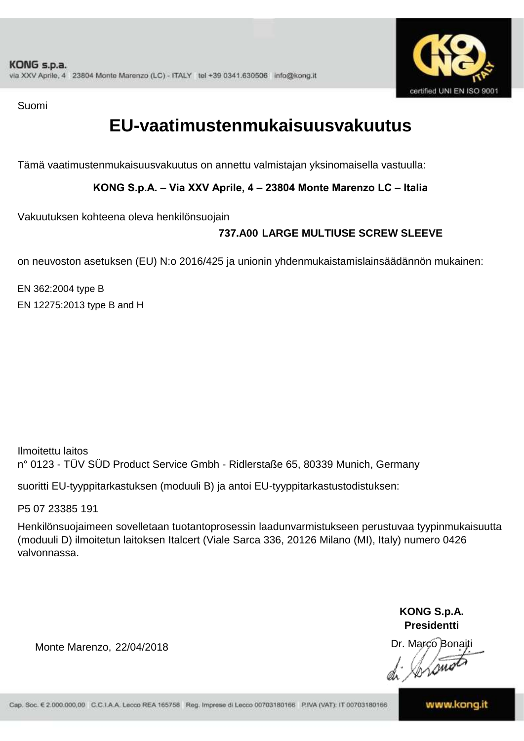

Suomi

## **EU-vaatimustenmukaisuusvakuutus**

Tämä vaatimustenmukaisuusvakuutus on annettu valmistajan yksinomaisella vastuulla:

**KONG S.p.A. – Via XXV Aprile, 4 – 23804 Monte Marenzo LC – Italia**

Vakuutuksen kohteena oleva henkilönsuojain

### **737.A00 LARGE MULTIUSE SCREW SLEEVE**

on neuvoston asetuksen (EU) N:o 2016/425 ja unionin yhdenmukaistamislainsäädännön mukainen:

EN 362:2004 type B EN 12275:2013 type B and H

Ilmoitettu laitos n° 0123 - TÜV SÜD Product Service Gmbh - Ridlerstaße 65, 80339 Munich, Germany

suoritti EU-tyyppitarkastuksen (moduuli B) ja antoi EU-tyyppitarkastustodistuksen:

P5 07 23385 191

Henkilönsuojaimeen sovelletaan tuotantoprosessin laadunvarmistukseen perustuvaa tyypinmukaisuutta (moduuli D) ilmoitetun laitoksen Italcert (Viale Sarca 336, 20126 Milano (MI), Italy) numero 0426 valvonnassa.

> **KONG S.p.A. Presidentti**

Dr. Marco Bonaiti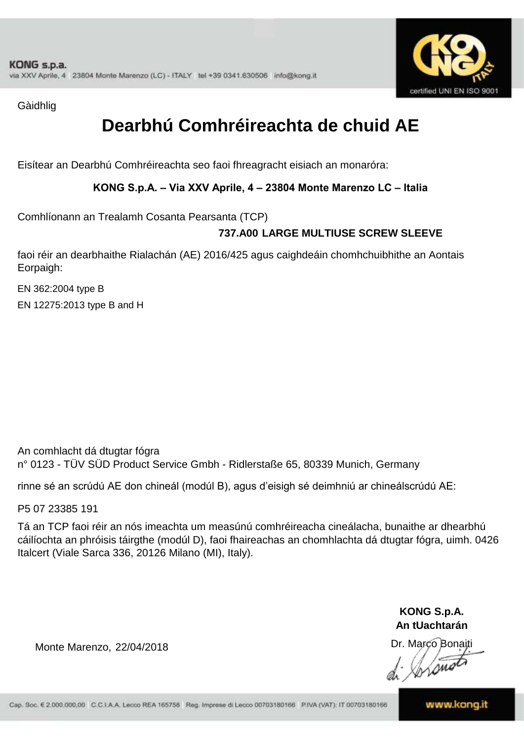

Gàidhlig

# **Dearbhú Comhréireachta de chuid AE**

Eisítear an Dearbhú Comhréireachta seo faoi fhreagracht eisiach an monaróra:

**KONG S.p.A. – Via XXV Aprile, 4 – 23804 Monte Marenzo LC – Italia**

Comhlíonann an Trealamh Cosanta Pearsanta (TCP)

### **737.A00 LARGE MULTIUSE SCREW SLEEVE**

faoi réir an dearbhaithe Rialachán (AE) 2016/425 agus caighdeáin chomhchuibhithe an Aontais Eorpaigh:

EN 362:2004 type B EN 12275:2013 type B and H

An comhlacht dá dtugtar fógra n° 0123 - TÜV SÜD Product Service Gmbh - Ridlerstaße 65, 80339 Munich, Germany

rinne sé an scrúdú AE don chineál (modúl B), agus d'eisigh sé deimhniú ar chineálscrúdú AE:

P5 07 23385 191

Tá an TCP faoi réir an nós imeachta um measúnú comhréireacha cineálacha, bunaithe ar dhearbhú cáilíochta an phróisis táirgthe (modúl D), faoi fhaireachas an chomhlachta dá dtugtar fógra, uimh. 0426 Italcert (Viale Sarca 336, 20126 Milano (MI), Italy).

> **KONG S.p.A. An tUachtarán**

Dr. Marco Bonaiti

Monte Marenzo, 22/04/2018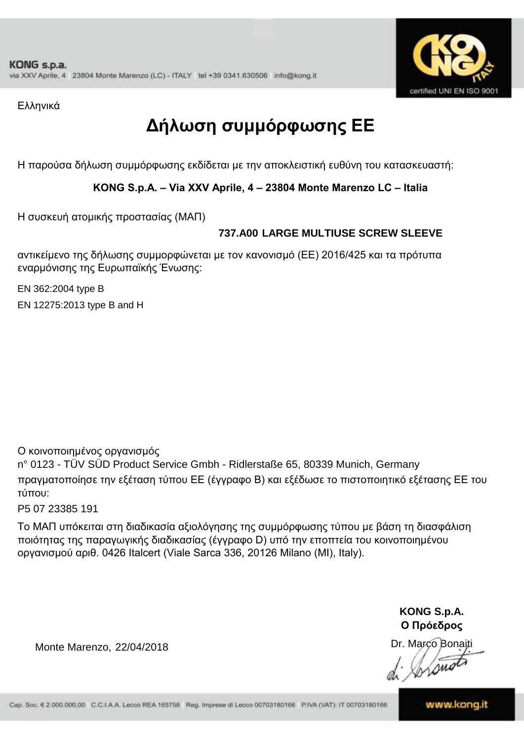

Ελληνικά

# **Δήλωση συμμόρφωσης ΕE**

Η παρούσα δήλωση συμμόρφωσης εκδίδεται με την αποκλειστική ευθύνη του κατασκευαστή:

#### **KONG S.p.A. – Via XXV Aprile, 4 – 23804 Monte Marenzo LC – Italia**

Η συσκευή ατομικής προστασίας (ΜΑΠ)

### **737.A00 LARGE MULTIUSE SCREW SLEEVE**

αντικείμενο της δήλωσης συμμορφώνεται με τον κανονισμό (ΕΕ) 2016/425 και τα πρότυπα εναρμόνισης της Ευρωπαϊκής Ένωσης:

EN 362:2004 type B

EN 12275:2013 type B and H

Ο κοινοποιημένος οργανισμός

n° 0123 - TÜV SÜD Product Service Gmbh - Ridlerstaße 65, 80339 Munich, Germany πραγματοποίησε την εξέταση τύπου ΕΕ (έγγραφο Β) και εξέδωσε το πιστοποιητικό εξέτασης ΕΕ του τύπου:

P5 07 23385 191

Το ΜΑΠ υπόκειται στη διαδικασία αξιολόγησης της συμμόρφωσης τύπου με βάση τη διασφάλιση ποιότητας της παραγωγικής διαδικασίας (έγγραφο D) υπό την εποπτεία του κοινοποιημένου οργανισμού αριθ. 0426 Italcert (Viale Sarca 336, 20126 Milano (MI), Italy).

> **KONG S.p.A. Ο Πρόεδρος**

Dr. Marco Bonaiti

Lome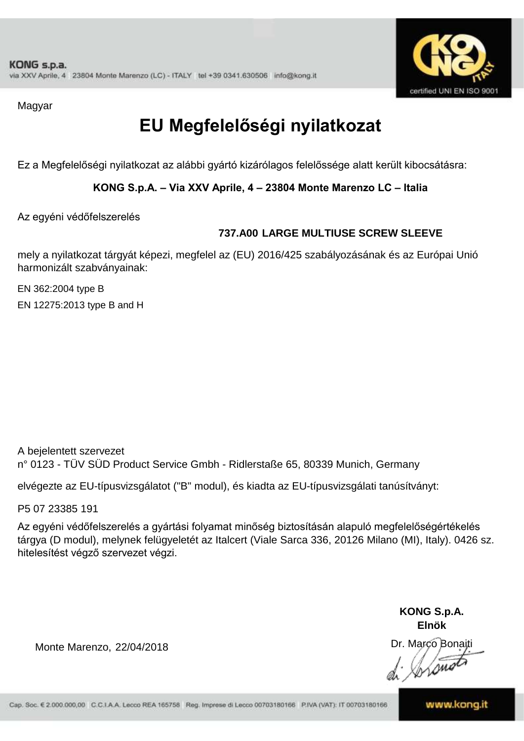

Magyar

# **EU Megfelelőségi nyilatkozat**

Ez a Megfelelőségi nyilatkozat az alábbi gyártó kizárólagos felelőssége alatt került kibocsátásra:

**KONG S.p.A. – Via XXV Aprile, 4 – 23804 Monte Marenzo LC – Italia**

Az egyéni védőfelszerelés

### **737.A00 LARGE MULTIUSE SCREW SLEEVE**

mely a nyilatkozat tárgyát képezi, megfelel az (EU) 2016/425 szabályozásának és az Európai Unió harmonizált szabványainak:

EN 362:2004 type B EN 12275:2013 type B and H

A bejelentett szervezet n° 0123 - TÜV SÜD Product Service Gmbh - Ridlerstaße 65, 80339 Munich, Germany

elvégezte az EU-típusvizsgálatot ("B" modul), és kiadta az EU-típusvizsgálati tanúsítványt:

P5 07 23385 191

Az egyéni védőfelszerelés a gyártási folyamat minőség biztosításán alapuló megfelelőségértékelés tárgya (D modul), melynek felügyeletét az Italcert (Viale Sarca 336, 20126 Milano (MI), Italy). 0426 sz. hitelesítést végző szervezet végzi.

> **KONG S.p.A. Elnök**

Dr. Marco Bonaiti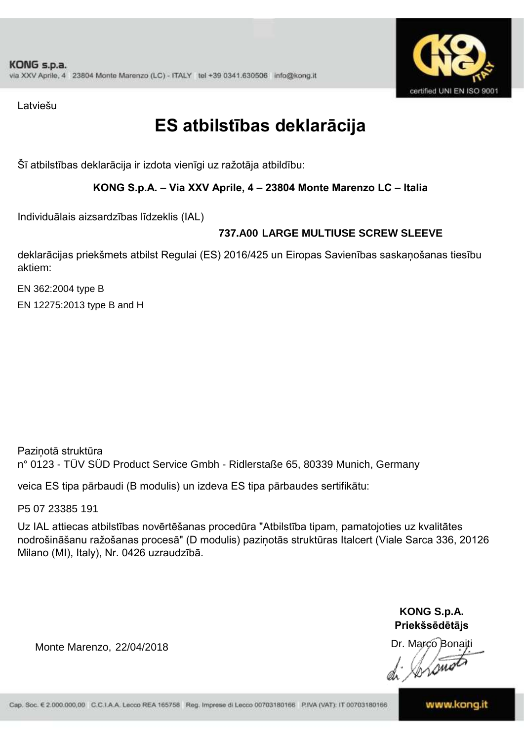

Latviešu

## **ES atbilstības deklarācija**

Šī atbilstības deklarācija ir izdota vienīgi uz ražotāja atbildību:

#### **KONG S.p.A. – Via XXV Aprile, 4 – 23804 Monte Marenzo LC – Italia**

Individuālais aizsardzības līdzeklis (IAL)

### **737.A00 LARGE MULTIUSE SCREW SLEEVE**

deklarācijas priekšmets atbilst Regulai (ES) 2016/425 un Eiropas Savienības saskaņošanas tiesību aktiem:

EN 362:2004 type B EN 12275:2013 type B and H

Paziņotā struktūra n° 0123 - TÜV SÜD Product Service Gmbh - Ridlerstaße 65, 80339 Munich, Germany

veica ES tipa pārbaudi (B modulis) un izdeva ES tipa pārbaudes sertifikātu:

P5 07 23385 191

Uz IAL attiecas atbilstības novērtēšanas procedūra "Atbilstība tipam, pamatojoties uz kvalitātes nodrošināšanu ražošanas procesā" (D modulis) paziņotās struktūras Italcert (Viale Sarca 336, 20126 Milano (MI), Italy), Nr. 0426 uzraudzībā.

> **KONG S.p.A. Priekšsēdētājs**

Dr. Marco Bonaiti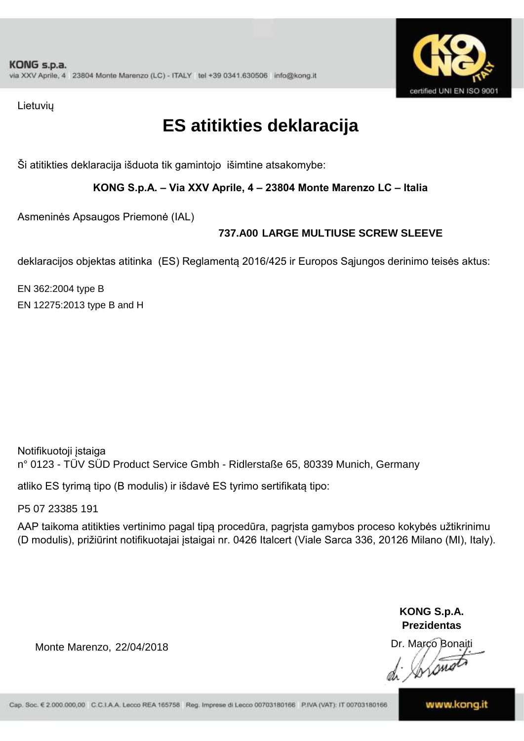

Lietuvių

# **ES atitikties deklaracija**

Ši atitikties deklaracija išduota tik gamintojo išimtine atsakomybe:

**KONG S.p.A. – Via XXV Aprile, 4 – 23804 Monte Marenzo LC – Italia**

Asmeninės Apsaugos Priemonė (IAL)

### **737.A00 LARGE MULTIUSE SCREW SLEEVE**

deklaracijos objektas atitinka (ES) Reglamentą 2016/425 ir Europos Sąjungos derinimo teisės aktus:

EN 362:2004 type B EN 12275:2013 type B and H

Notifikuotoji įstaiga n° 0123 - TÜV SÜD Product Service Gmbh - Ridlerstaße 65, 80339 Munich, Germany

atliko ES tyrimą tipo (B modulis) ir išdavė ES tyrimo sertifikatą tipo:

P5 07 23385 191

AAP taikoma atitikties vertinimo pagal tipą procedūra, pagrįsta gamybos proceso kokybės užtikrinimu (D modulis), prižiūrint notifikuotajai įstaigai nr. 0426 Italcert (Viale Sarca 336, 20126 Milano (MI), Italy).

> **KONG S.p.A. Prezidentas**

Dr. Marco Bonaiti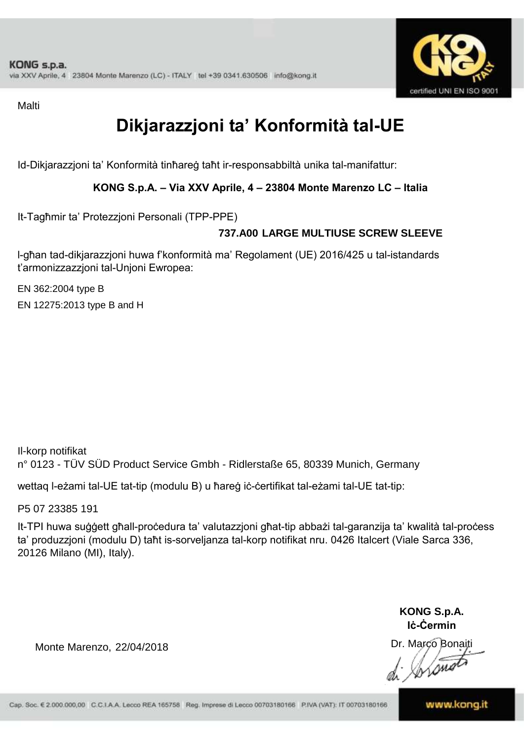

**Malti** 

# **Dikjarazzjoni ta' Konformità tal-UE**

Id-Dikjarazzjoni ta' Konformità tinħareġ taħt ir-responsabbiltà unika tal-manifattur:

**KONG S.p.A. – Via XXV Aprile, 4 – 23804 Monte Marenzo LC – Italia**

It-Tagħmir ta' Protezzjoni Personali (TPP-PPE)

### **737.A00 LARGE MULTIUSE SCREW SLEEVE**

l-għan tad-dikjarazzjoni huwa f'konformità ma' Regolament (UE) 2016/425 u tal-istandards t'armonizzazzjoni tal-Unjoni Ewropea:

EN 362:2004 type B

EN 12275:2013 type B and H

Il-korp notifikat n° 0123 - TÜV SÜD Product Service Gmbh - Ridlerstaße 65, 80339 Munich, Germany

wettaq l-eżami tal-UE tat-tip (modulu B) u ħareġ iċ-ċertifikat tal-eżami tal-UE tat-tip:

P5 07 23385 191

It-TPI huwa suġġett għall-proċedura ta' valutazzjoni għat-tip abbażi tal-garanzija ta' kwalità tal-proċess ta' produzzjoni (modulu D) taħt is-sorveljanza tal-korp notifikat nru. 0426 Italcert (Viale Sarca 336, 20126 Milano (MI), Italy).

> **KONG S.p.A. Iċ-Ċermin**

Dr. Marco Bonaiti

Monte Marenzo, 22/04/2018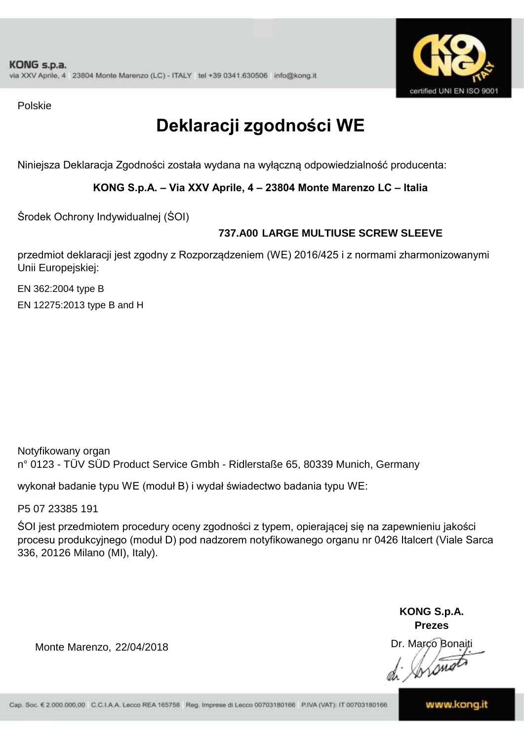

Polskie

# **Deklaracji zgodności WE**

Niniejsza Deklaracja Zgodności została wydana na wyłączną odpowiedzialność producenta:

**KONG S.p.A. – Via XXV Aprile, 4 – 23804 Monte Marenzo LC – Italia**

Środek Ochrony Indywidualnej (ŚOI)

### **737.A00 LARGE MULTIUSE SCREW SLEEVE**

przedmiot deklaracji jest zgodny z Rozporządzeniem (WE) 2016/425 i z normami zharmonizowanymi Unii Europejskiej:

EN 362:2004 type B

EN 12275:2013 type B and H

Notyfikowany organ n° 0123 - TÜV SÜD Product Service Gmbh - Ridlerstaße 65, 80339 Munich, Germany

wykonał badanie typu WE (moduł B) i wydał świadectwo badania typu WE:

P5 07 23385 191

ŚOI jest przedmiotem procedury oceny zgodności z typem, opierającej się na zapewnieniu jakości procesu produkcyjnego (moduł D) pod nadzorem notyfikowanego organu nr 0426 Italcert (Viale Sarca 336, 20126 Milano (MI), Italy).

> **KONG S.p.A. Prezes**

Dr. Marco Bonaiti

Monte Marenzo, 22/04/2018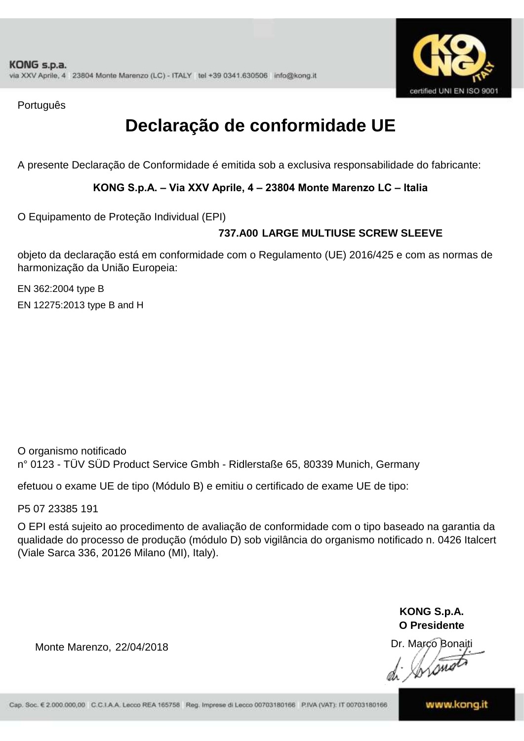

Português

# **Declaração de conformidade UE**

A presente Declaração de Conformidade é emitida sob a exclusiva responsabilidade do fabricante:

#### **KONG S.p.A. – Via XXV Aprile, 4 – 23804 Monte Marenzo LC – Italia**

O Equipamento de Proteção Individual (EPI)

### **737.A00 LARGE MULTIUSE SCREW SLEEVE**

objeto da declaração está em conformidade com o Regulamento (UE) 2016/425 e com as normas de harmonização da União Europeia:

EN 362:2004 type B EN 12275:2013 type B and H

O organismo notificado n° 0123 - TÜV SÜD Product Service Gmbh - Ridlerstaße 65, 80339 Munich, Germany

efetuou o exame UE de tipo (Módulo B) e emitiu o certificado de exame UE de tipo:

P5 07 23385 191

O EPI está sujeito ao procedimento de avaliação de conformidade com o tipo baseado na garantia da qualidade do processo de produção (módulo D) sob vigilância do organismo notificado n. 0426 Italcert (Viale Sarca 336, 20126 Milano (MI), Italy).

> **KONG S.p.A. O Presidente**

Dr. Marco Bonaiti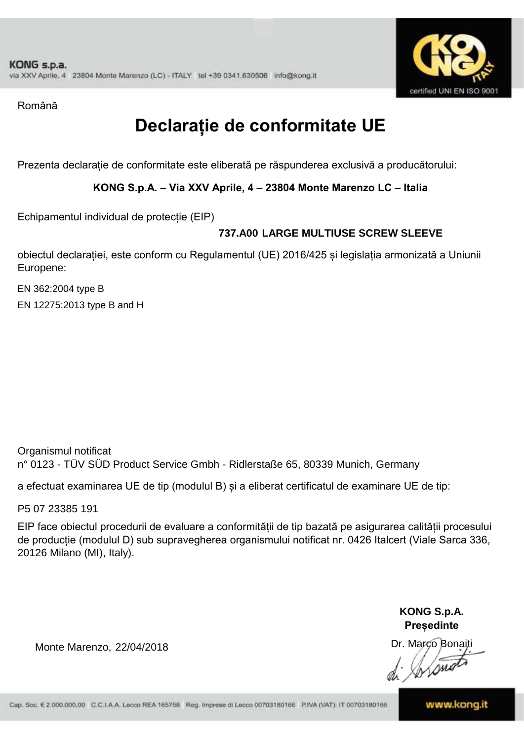

Română

# **Declarație de conformitate UE**

Prezenta declarație de conformitate este eliberată pe răspunderea exclusivă a producătorului:

**KONG S.p.A. – Via XXV Aprile, 4 – 23804 Monte Marenzo LC – Italia**

Echipamentul individual de protecție (EIP)

### **737.A00 LARGE MULTIUSE SCREW SLEEVE**

obiectul declarației, este conform cu Regulamentul (UE) 2016/425 și legislația armonizată a Uniunii Europene:

EN 362:2004 type B EN 12275:2013 type B and H

Organismul notificat n° 0123 - TÜV SÜD Product Service Gmbh - Ridlerstaße 65, 80339 Munich, Germany

a efectuat examinarea UE de tip (modulul B) și a eliberat certificatul de examinare UE de tip:

P5 07 23385 191

EIP face obiectul procedurii de evaluare a conformității de tip bazată pe asigurarea calității procesului de producție (modulul D) sub supravegherea organismului notificat nr. 0426 Italcert (Viale Sarca 336, 20126 Milano (MI), Italy).

> **KONG S.p.A. Președinte**

Dr. Marco Bonaiti Łoni

Monte Marenzo, 22/04/2018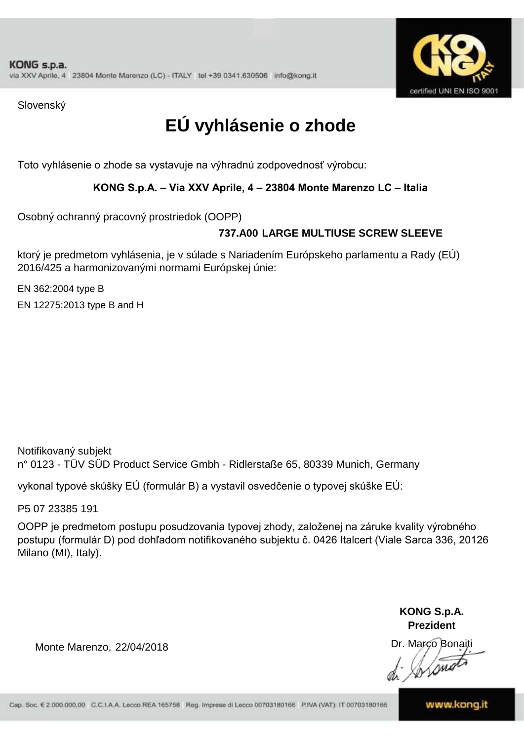

Slovenský

# **EÚ vyhlásenie o zhode**

Toto vyhlásenie o zhode sa vystavuje na výhradnú zodpovednosť výrobcu:

#### **KONG S.p.A. – Via XXV Aprile, 4 – 23804 Monte Marenzo LC – Italia**

Osobný ochranný pracovný prostriedok (OOPP)

### **LARGE MULTIUSE SCREW SLEEVE 737.A00**

ktorý je predmetom vyhlásenia, je v súlade s Nariadením Európskeho parlamentu a Rady (EÚ) 2016/425 a harmonizovanými normami Európskej únie:

EN 362:2004 type B

EN 12275:2013 type B and H

Notifikovaný subjekt n° 0123 - TÜV SÜD Product Service Gmbh - Ridlerstaße 65, 80339 Munich, Germany

vykonal typové skúšky EÚ (formulár B) a vystavil osvedčenie o typovej skúške EÚ:

P5 07 23385 191

OOPP je predmetom postupu posudzovania typovej zhody, založenej na záruke kvality výrobného postupu (formulár D) pod dohľadom notifikovaného subjektu č. 0426 Italcert (Viale Sarca 336, 20126 Milano (MI), Italy).

> **KONG S.p.A. Prezident**

Dr. Marco Bonaiti

Monte Marenzo, 22/04/2018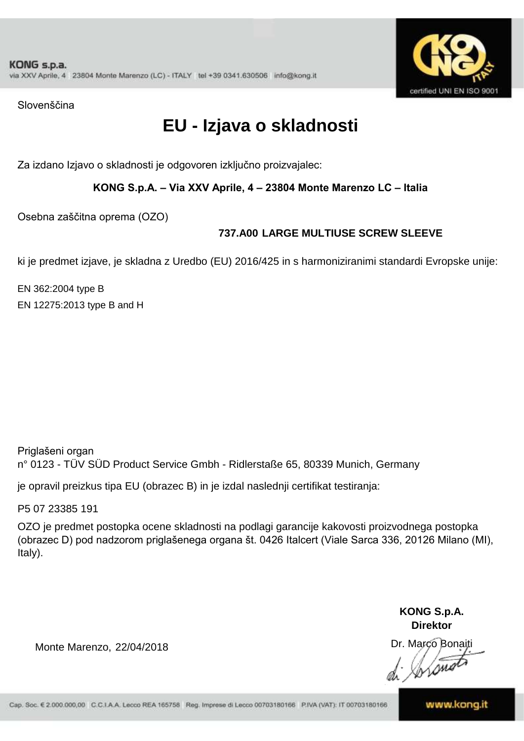

Slovenščina

# **EU - Izjava o skladnosti**

Za izdano Izjavo o skladnosti je odgovoren izključno proizvajalec:

**KONG S.p.A. – Via XXV Aprile, 4 – 23804 Monte Marenzo LC – Italia**

Osebna zaščitna oprema (OZO)

### **737.A00 LARGE MULTIUSE SCREW SLEEVE**

ki je predmet izjave, je skladna z Uredbo (EU) 2016/425 in s harmoniziranimi standardi Evropske unije:

EN 362:2004 type B EN 12275:2013 type B and H

Priglašeni organ n° 0123 - TÜV SÜD Product Service Gmbh - Ridlerstaße 65, 80339 Munich, Germany

je opravil preizkus tipa EU (obrazec B) in je izdal naslednji certifikat testiranja:

P5 07 23385 191

OZO je predmet postopka ocene skladnosti na podlagi garancije kakovosti proizvodnega postopka (obrazec D) pod nadzorom priglašenega organa št. 0426 Italcert (Viale Sarca 336, 20126 Milano (MI), Italy).

> **KONG S.p.A. Direktor**

Dr. Marco Bonaiti

Monte Marenzo, 22/04/2018